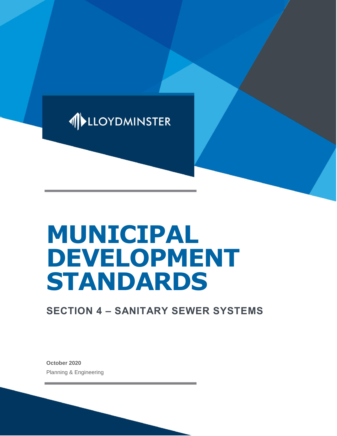

# **MUNICIPAL DEVELOPMENT STANDARDS**

# **SECTION 4 – SANITARY SEWER SYSTEMS**

**October 2020** Planning & Engineering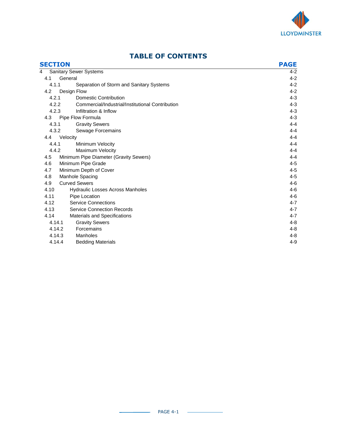

| <b>SECTION</b> |                                                  | <b>PAGE</b> |
|----------------|--------------------------------------------------|-------------|
| 4              | <b>Sanitary Sewer Systems</b>                    | $4 - 2$     |
| 4.1            | General                                          | $4 - 2$     |
| 4.1.1          | Separation of Storm and Sanitary Systems         | $4 - 2$     |
| 4.2            | Design Flow                                      | $4 - 2$     |
| 4.2.1          | Domestic Contribution                            | $4 - 3$     |
| 4.2.2          | Commercial/Industrial/Institutional Contribution | $4 - 3$     |
| 4.2.3          | Infiltration & Inflow                            | $4 - 3$     |
| 4.3            | Pipe Flow Formula                                | $4 - 3$     |
| 4.3.1          | <b>Gravity Sewers</b>                            | $4 - 4$     |
| 4.3.2          | Sewage Forcemains                                | $4 - 4$     |
| 4.4            | Velocity                                         | $4 - 4$     |
| 4.4.1          | Minimum Velocity                                 | $4 - 4$     |
| 4.4.2          | Maximum Velocity                                 | $4 - 4$     |
| 4.5            | Minimum Pipe Diameter (Gravity Sewers)           | $4 - 4$     |
| 4.6            | Minimum Pipe Grade                               | $4 - 5$     |
| 4.7            | Minimum Depth of Cover                           | $4 - 5$     |
| 4.8            | Manhole Spacing                                  | $4 - 5$     |
| 4.9            | <b>Curved Sewers</b>                             | $4-6$       |
| 4.10           | <b>Hydraulic Losses Across Manholes</b>          | $4 - 6$     |
| 4.11           | Pipe Location                                    | $4-6$       |
| 4.12           | <b>Service Connections</b>                       | $4 - 7$     |
| 4.13           | <b>Service Connection Records</b>                | $4 - 7$     |
| 4.14           | <b>Materials and Specifications</b>              | $4 - 7$     |
| 4.14.1         | <b>Gravity Sewers</b>                            | $4 - 8$     |
| 4.14.2         | Forcemains                                       | $4 - 8$     |
| 4.14.3         | Manholes                                         | $4 - 8$     |
| 4.14.4         | <b>Bedding Materials</b>                         | $4 - 9$     |

# **TABLE OF CONTENTS**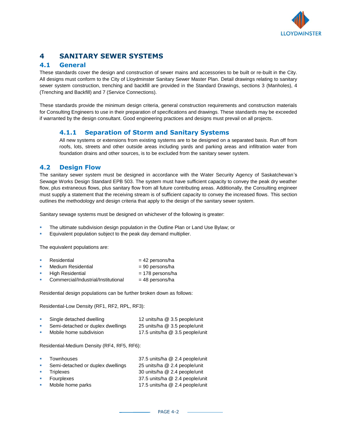

# **4 SANITARY SEWER SYSTEMS**

# **4.1 General**

These standards cover the design and construction of sewer mains and accessories to be built or re-built in the City. All designs must conform to the City of Lloydminster Sanitary Sewer Master Plan. Detail drawings relating to sanitary sewer system construction, trenching and backfill are provided in the Standard Drawings, sections 3 (Manholes), 4 (Trenching and Backfill) and 7 (Service Connections).

These standards provide the minimum design criteria, general construction requirements and construction materials for Consulting Engineers to use in their preparation of specifications and drawings. These standards may be exceeded if warranted by the design consultant. Good engineering practices and designs must prevail on all projects.

# **4.1.1 Separation of Storm and Sanitary Systems**

All new systems or extensions from existing systems are to be designed on a separated basis. Run off from roofs, lots, streets and other outside areas including yards and parking areas and infiltration water from foundation drains and other sources, is to be excluded from the sanitary sewer system.

# **4.2 Design Flow**

The sanitary sewer system must be designed in accordance with the Water Security Agency of Saskatchewan's Sewage Works Design Standard EPB 503. The system must have sufficient capacity to convey the peak dry weather flow, plus extraneous flows, plus sanitary flow from all future contributing areas. Additionally, the Consulting engineer must supply a statement that the receiving stream is of sufficient capacity to convey the increased flows. This section outlines the methodology and design criteria that apply to the design of the sanitary sewer system.

Sanitary sewage systems must be designed on whichever of the following is greater:

- The ultimate subdivision design population in the Outline Plan or Land Use Bylaw; or
- Equivalent population subject to the peak day demand multiplier.

The equivalent populations are:

| <b>The</b> | Residential                         | $= 42$ persons/ha  |
|------------|-------------------------------------|--------------------|
| <b>B</b>   | Medium Residential                  | $= 90$ persons/ha  |
| <b>COL</b> | <b>High Residential</b>             | $= 178$ persons/ha |
| <b>COL</b> | Commercial/Industrial/Institutional | $= 48$ persons/ha  |

Residential design populations can be further broken down as follows:

Residential-Low Density (RF1, RF2, RPL, RF3):

| Single detached dwelling          | 12 units/ha @ 3.5 people/unit   |
|-----------------------------------|---------------------------------|
| Semi-detached or duplex dwellings | 25 units/ha @ 3.5 people/unit   |
| Mobile home subdivision           | 17.5 units/ha @ 3.5 people/unit |

Residential-Medium Density (RF4, RF5, RF6):

| $\mathbf{m}$             | Townhouses                        | 37.5 units/ha @ 2.4 people/unit |
|--------------------------|-----------------------------------|---------------------------------|
| <b>COL</b>               | Semi-detached or duplex dwellings | 25 units/ha @ 2.4 people/unit   |
| $\mathcal{L}_{\rm{max}}$ | Triplexes                         | 30 units/ha @ 2.4 people/unit   |
| <b>COL</b>               | Fourplexes                        | 37.5 units/ha @ 2.4 people/unit |
| m.                       | Mobile home parks                 | 17.5 units/ha @ 2.4 people/unit |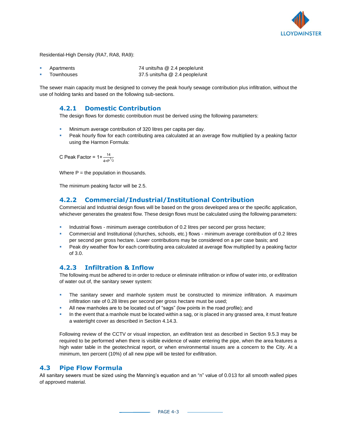

Residential-High Density (RA7, RA8, RA9):

Apartments 74 units/ha @ 2.4 people/unit Townhouses 37.5 units/ha @ 2.4 people/unit

The sewer main capacity must be designed to convey the peak hourly sewage contribution plus infiltration, without the use of holding tanks and based on the following sub-sections.

#### **4.2.1 Domestic Contribution**

The design flows for domestic contribution must be derived using the following parameters:

- **EXEDENT** Minimum average contribution of 320 litres per capita per day.
- Peak hourly flow for each contributing area calculated at an average flow multiplied by a peaking factor using the Harmon Formula:

C Peak Factor =  $1 + \frac{14}{4 + P^{1/2}}$ 

Where  $P =$  the population in thousands.

The minimum peaking factor will be 2.5.

## **4.2.2 Commercial/Industrial/Institutional Contribution**

Commercial and Industrial design flows will be based on the gross developed area or the specific application, whichever generates the greatest flow. These design flows must be calculated using the following parameters:

- Industrial flows minimum average contribution of 0.2 litres per second per gross hectare;
- Commercial and Institutional (churches, schools, etc.) flows minimum average contribution of 0.2 litres per second per gross hectare. Lower contributions may be considered on a per case basis; and
- **Peak dry weather flow for each contributing area calculated at average flow multiplied by a peaking factor** of 3.0.

#### **4.2.3 Infiltration & Inflow**

The following must be adhered to in order to reduce or eliminate infiltration or inflow of water into, or exfiltration of water out of, the sanitary sewer system:

- **•** The sanitary sewer and manhole system must be constructed to minimize infiltration. A maximum infiltration rate of 0.28 litres per second per gross hectare must be used;
- All new manholes are to be located out of "sags" (low points in the road profile); and
- **In the event that a manhole must be located within a sag, or is placed in any grassed area, it must feature** a watertight cover as described in Section 4.14.3.

Following review of the CCTV or visual inspection, an exfiltration test as described in Section 9.5.3 may be required to be performed when there is visible evidence of water entering the pipe, when the area features a high water table in the geotechnical report, or when environmental issues are a concern to the City. At a minimum, ten percent (10%) of all new pipe will be tested for exfiltration.

#### **4.3 Pipe Flow Formula**

All sanitary sewers must be sized using the Manning's equation and an "n" value of 0.013 for all smooth walled pipes of approved material.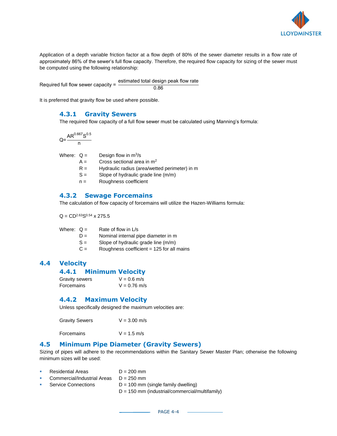

Application of a depth variable friction factor at a flow depth of 80% of the sewer diameter results in a flow rate of approximately 86% of the sewer's full flow capacity. Therefore, the required flow capacity for sizing of the sewer must be computed using the following relationship:

Required full flow sewer capacity = estimated total design peak flow rate 0.86

It is preferred that gravity flow be used where possible.

#### **4.3.1 Gravity Sewers**

The required flow capacity of a full flow sewer must be calculated using Manning's formula:

$$
Q=\frac{AR^{0.667}S^{0.5}}{n}
$$

Where:  $Q =$  Design flow in m<sup>3</sup>/s

 $A =$  Cross sectional area in  $m<sup>2</sup>$ 

 $R =$  Hydraulic radius (area/wetted perimeter) in m

 $S =$  Slope of hydraulic grade line  $(m/m)$ 

n = Roughness coefficient

## **4.3.2 Sewage Forcemains**

The calculation of flow capacity of forcemains will utilize the Hazen-Williams formula:

 $Q = CD^{2.63}S^{0.54} \times 275.5$ 

| Where: $Q =$ | Rate of flow in L/s |
|--------------|---------------------|
|              |                     |

- D = Nominal internal pipe diameter in m
- $S =$  Slope of hydraulic grade line  $(m/m)$
- $C =$  Roughness coefficient = 125 for all mains

## **4.4 Velocity**

| 4.4.1 | <b>Minimum Velocity</b> |  |
|-------|-------------------------|--|
|       |                         |  |

| <b>Gravity sewers</b> | $V = 0.6$ m/s  |
|-----------------------|----------------|
| Forcemains            | $V = 0.76$ m/s |

#### **4.4.2 Maximum Velocity**

Unless specifically designed the maximum velocities are:

Gravity Sewers  $V = 3.00$  m/s

Forcemains  $V = 1.5$  m/s

#### **4.5 Minimum Pipe Diameter (Gravity Sewers)**

Sizing of pipes will adhere to the recommendations within the Sanitary Sewer Master Plan; otherwise the following minimum sizes will be used:

- Residential Areas  $D = 200$  mm
- Commercial/Industrial Areas  $D = 250$  mm
	- Service Connections  $D = 100$  mm (single family dwelling)
		- D = 150 mm (industrial/commercial/multifamily)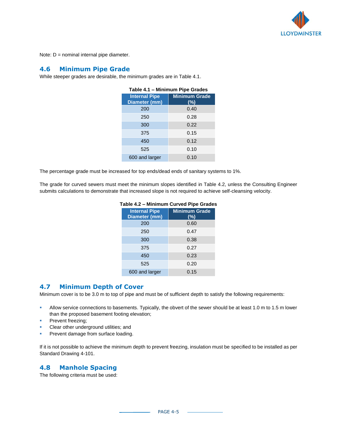

Note:  $D =$  nominal internal pipe diameter.

#### **4.6 Minimum Pipe Grade**

While steeper grades are desirable, the minimum grades are in Table 4.1.

| Table 4.1 - Minimum Pipe Grades       |                             |  |  |
|---------------------------------------|-----------------------------|--|--|
| <b>Internal Pipe</b><br>Diameter (mm) | <b>Minimum Grade</b><br>(%) |  |  |
| 200                                   | 0.40                        |  |  |
| 250                                   | 0.28                        |  |  |
| 300                                   | 0.22                        |  |  |
| 375                                   | 0.15                        |  |  |
| 450                                   | 0.12                        |  |  |
| 525                                   | 0.10                        |  |  |
| 600 and larger                        | 0.10                        |  |  |

The percentage grade must be increased for top ends/dead ends of sanitary systems to 1%.

The grade for curved sewers must meet the minimum slopes identified in Table 4.2, unless the Consulting Engineer submits calculations to demonstrate that increased slope is not required to achieve self-cleansing velocity.

| rable 4.2 – Minimum Curved Fipe Grade |                                |  |
|---------------------------------------|--------------------------------|--|
| <b>Internal Pipe</b><br>Diameter (mm) | <b>Minimum Grade</b><br>$(\%)$ |  |
| 200                                   | 0.60                           |  |
| 250                                   | 0.47                           |  |
| 300                                   | 0.38                           |  |
| 375                                   | 0.27                           |  |
| 450                                   | 0.23                           |  |
| 525                                   | 0.20                           |  |
| 600 and larger                        | 0.15                           |  |

#### **Table 4.2 – Minimum Curved Pipe Grades**

#### **4.7 Minimum Depth of Cover**

Minimum cover is to be 3.0 m to top of pipe and must be of sufficient depth to satisfy the following requirements:

- Allow service connections to basements. Typically, the obvert of the sewer should be at least 1.0 m to 1.5 m lower than the proposed basement footing elevation;
- **•** Prevent freezing;
- Clear other underground utilities; and
- Prevent damage from surface loading.

If it is not possible to achieve the minimum depth to prevent freezing, insulation must be specified to be installed as per Standard Drawing 4-101.

## **4.8 Manhole Spacing**

The following criteria must be used: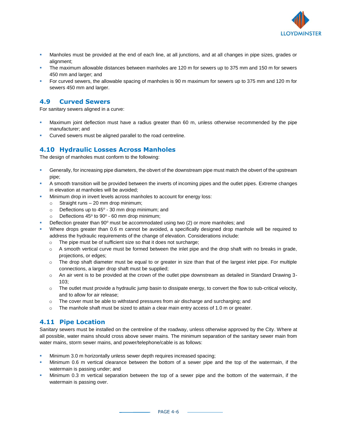

- Manholes must be provided at the end of each line, at all junctions, and at all changes in pipe sizes, grades or alignment;
- The maximum allowable distances between manholes are 120 m for sewers up to 375 mm and 150 m for sewers 450 mm and larger; and
- For curved sewers, the allowable spacing of manholes is 90 m maximum for sewers up to 375 mm and 120 m for sewers 450 mm and larger.

## **4.9 Curved Sewers**

For sanitary sewers aligned in a curve:

- Maximum joint deflection must have a radius greater than 60 m, unless otherwise recommended by the pipe manufacturer; and
- Curved sewers must be aligned parallel to the road centreline.

# **4.10 Hydraulic Losses Across Manholes**

The design of manholes must conform to the following:

- Generally, for increasing pipe diameters, the obvert of the downstream pipe must match the obvert of the upstream pipe;
- A smooth transition will be provided between the inverts of incoming pipes and the outlet pipes. Extreme changes in elevation at manholes will be avoided;
- Minimum drop in invert levels across manholes to account for energy loss:
	- $\circ$  Straight runs 20 mm drop minimum;
	- $\circ$  Deflections up to 45 $\circ$  30 mm drop minimum; and
	- $\circ$  Deflections 45° to 90° 60 mm drop minimum;
- Deflection greater than  $90^{\circ}$  must be accommodated using two (2) or more manholes; and
- Where drops greater than 0.6 m cannot be avoided, a specifically designed drop manhole will be required to address the hydraulic requirements of the change of elevation. Considerations include:
	- o The pipe must be of sufficient size so that it does not surcharge;
	- $\circ$  A smooth vertical curve must be formed between the inlet pipe and the drop shaft with no breaks in grade, projections, or edges;
	- $\circ$  The drop shaft diameter must be equal to or greater in size than that of the largest inlet pipe. For multiple connections, a larger drop shaft must be supplied;
	- o An air vent is to be provided at the crown of the outlet pipe downstream as detailed in Standard Drawing 3- 103;
	- o The outlet must provide a hydraulic jump basin to dissipate energy, to convert the flow to sub-critical velocity, and to allow for air release;
	- $\circ$  The cover must be able to withstand pressures from air discharge and surcharging; and
	- $\circ$  The manhole shaft must be sized to attain a clear main entry access of 1.0 m or greater.

## **4.11 Pipe Location**

Sanitary sewers must be installed on the centreline of the roadway, unless otherwise approved by the City. Where at all possible, water mains should cross above sewer mains. The minimum separation of the sanitary sewer main from water mains, storm sewer mains, and power/telephone/cable is as follows:

- Minimum 3.0 m horizontally unless sewer depth requires increased spacing;
- Minimum 0.6 m vertical clearance between the bottom of a sewer pipe and the top of the watermain, if the watermain is passing under; and
- Minimum 0.3 m vertical separation between the top of a sewer pipe and the bottom of the watermain, if the watermain is passing over.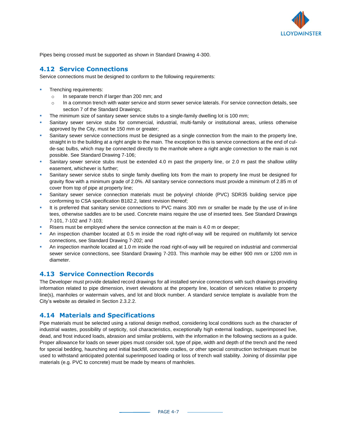

Pipes being crossed must be supported as shown in Standard Drawing 4-300.

#### **4.12 Service Connections**

Service connections must be designed to conform to the following requirements:

- Trenching requirements:
	- o In separate trench if larger than 200 mm; and
	- $\circ$  In a common trench with water service and storm sewer service laterals. For service connection details, see section 7 of the Standard Drawings;
- The minimum size of sanitary sewer service stubs to a single-family dwelling lot is 100 mm;
- Sanitary sewer service stubs for commercial, industrial, multi-family or institutional areas, unless otherwise approved by the City, must be 150 mm or greater;
- Sanitary sewer service connections must be designed as a single connection from the main to the property line, straight in to the building at a right angle to the main. The exception to this is service connections at the end of culde-sac bulbs, which may be connected directly to the manhole where a right angle connection to the main is not possible. See Standard Drawing 7-106;
- Sanitary sewer service stubs must be extended 4.0 m past the property line, or 2.0 m past the shallow utility easement, whichever is further;
- Sanitary sewer service stubs to single family dwelling lots from the main to property line must be designed for gravity flow with a minimum grade of 2.0%. All sanitary service connections must provide a minimum of 2.85 m of cover from top of pipe at property line;
- Sanitary sewer service connection materials must be polyvinyl chloride (PVC) SDR35 building service pipe conforming to CSA specification B182.2, latest revision thereof;
- It is preferred that sanitary service connections to PVC mains 300 mm or smaller be made by the use of in-line tees, otherwise saddles are to be used. Concrete mains require the use of inserted tees. See Standard Drawings 7-101, 7-102 and 7-103;
- Risers must be employed where the service connection at the main is 4.0 m or deeper;
- An inspection chamber located at 0.5 m inside the road right-of-way will be required on multifamily lot service connections, see Standard Drawing 7-202; and
- An inspection manhole located at 1.0 m inside the road right-of-way will be required on industrial and commercial sewer service connections, see Standard Drawing 7-203. This manhole may be either 900 mm or 1200 mm in diameter.

#### **4.13 Service Connection Records**

The Developer must provide detailed record drawings for all installed service connections with such drawings providing information related to pipe dimension, invert elevations at the property line, location of services relative to property line(s), manholes or watermain valves, and lot and block number. A standard service template is available from the City's website as detailed in Section 2.3.2.2.

#### **4.14 Materials and Specifications**

Pipe materials must be selected using a rational design method, considering local conditions such as the character of industrial wastes, possibility of septicity, soil characteristics, exceptionally high external loadings, superimposed live, dead, and frost induced loads, abrasion and similar problems, with the information in the following sections as a guide. Proper allowance for loads on sewer pipes must consider soil, type of pipe, width and depth of the trench and the need for special bedding, haunching and initial backfill, concrete cradles, or other special construction techniques must be used to withstand anticipated potential superimposed loading or loss of trench wall stability. Joining of dissimilar pipe materials (e.g. PVC to concrete) must be made by means of manholes.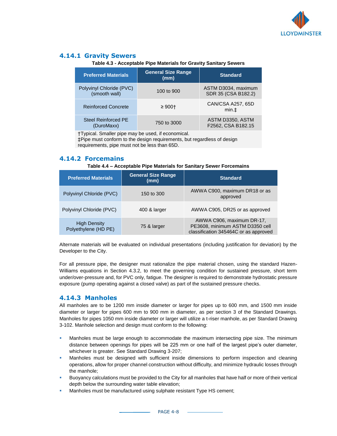

# **4.14.1 Gravity Sewers**

**Table 4.3 - Acceptable Pipe Materials for Gravity Sanitary Sewers**

| <b>Preferred Materials</b>                | <b>General Size Range</b><br>(mm) | <b>Standard</b>                            |
|-------------------------------------------|-----------------------------------|--------------------------------------------|
| Polyvinyl Chloride (PVC)<br>(smooth wall) | 100 to 900                        | ASTM D3034, maximum<br>SDR 35 (CSA B182.2) |
| <b>Reinforced Concrete</b>                | $\geq 900 +$                      | CAN/CSA A257, 65D<br>min.t                 |
| <b>Steel Reinforced PE</b><br>(DuroMaxx)  | 750 to 3000                       | ASTM D3350, ASTM<br>F2562, CSA B182.15     |

†Typical. Smaller pipe may be used, if economical.

‡Pipe must conform to the design requirements, but regardless of design requirements, pipe must not be less than 65D.

#### **4.14.2 Forcemains**

#### **Table 4.4 – Acceptable Pipe Materials for Sanitary Sewer Forcemains**

| <b>Preferred Materials</b>                  | <b>General Size Range</b><br>(mm) | <b>Standard</b>                                                                                       |
|---------------------------------------------|-----------------------------------|-------------------------------------------------------------------------------------------------------|
| Polyvinyl Chloride (PVC)                    | 150 to 300                        | AWWA C900, maximum DR18 or as<br>approved                                                             |
| Polyvinyl Chloride (PVC)                    | 400 & larger                      | AWWA C905, DR25 or as approved                                                                        |
| <b>High Density</b><br>Polyethylene (HD PE) | 75 & larger                       | AWWA C906, maximum DR-17,<br>PE3608, minimum ASTM D3350 cell<br>classification 345464C or as approved |

Alternate materials will be evaluated on individual presentations (including justification for deviation) by the Developer to the City.

For all pressure pipe, the designer must rationalize the pipe material chosen, using the standard Hazen-Williams equations in Section 4.3.2, to meet the governing condition for sustained pressure, short term under/over-pressure and, for PVC only, fatigue. The designer is required to demonstrate hydrostatic pressure exposure (pump operating against a closed valve) as part of the sustained pressure checks.

## **4.14.3 Manholes**

All manholes are to be 1200 mm inside diameter or larger for pipes up to 600 mm, and 1500 mm inside diameter or larger for pipes 600 mm to 900 mm in diameter, as per section 3 of the Standard Drawings. Manholes for pipes 1050 mm inside diameter or larger will utilize a t-riser manhole, as per Standard Drawing 3-102. Manhole selection and design must conform to the following:

- **•** Manholes must be large enough to accommodate the maximum intersecting pipe size. The minimum distance between openings for pipes will be 225 mm or one half of the largest pipe's outer diameter, whichever is greater. See Standard Drawing 3-207;
- **■** Manholes must be designed with sufficient inside dimensions to perform inspection and cleaning operations, allow for proper channel construction without difficulty, and minimize hydraulic losses through the manhole;
- Buoyancy calculations must be provided to the City for all manholes that have half or more of their vertical depth below the surrounding water table elevation;
- Manholes must be manufactured using sulphate resistant Type HS cement;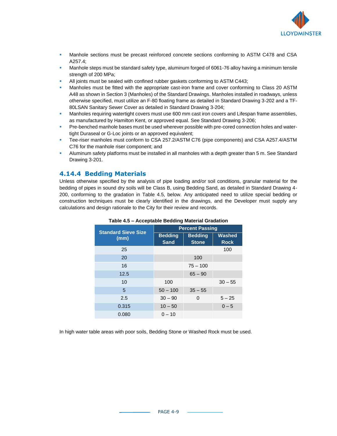

- **■** Manhole sections must be precast reinforced concrete sections conforming to ASTM C478 and CSA A257.4;
- **■** Manhole steps must be standard safety type, aluminum forged of 6061-76 alloy having a minimum tensile strength of 200 MPa;
- All joints must be sealed with confined rubber gaskets conforming to ASTM C443;
- Manholes must be fitted with the appropriate cast-iron frame and cover conforming to Class 20 ASTM A48 as shown in Section 3 (Manholes) of the Standard Drawings. Manholes installed in roadways, unless otherwise specified, must utilize an F-80 floating frame as detailed in Standard Drawing 3-202 and a TF-80LSAN Sanitary Sewer Cover as detailed in Standard Drawing 3-204;
- **■** Manholes requiring watertight covers must use 600 mm cast iron covers and Lifespan frame assemblies, as manufactured by Hamilton Kent, or approved equal. See Standard Drawing 3-206;
- **Pre-benched manhole bases must be used wherever possible with pre-cored connection holes and water**tight Duraseal or G-Loc joints or an approved equivalent;
- Tee-riser manholes must conform to CSA 257.2/ASTM C76 (pipe components) and CSA A257.4/ASTM C76 for the manhole riser component; and
- **EXECT** Aluminum safety platforms must be installed in all manholes with a depth greater than 5 m. See Standard Drawing 3-201.

#### **4.14.4 Bedding Materials**

Unless otherwise specified by the analysis of pipe loading and/or soil conditions, granular material for the bedding of pipes in sound dry soils will be Class B, using Bedding Sand, as detailed in Standard Drawing 4- 200, conforming to the gradation in Table 4.5, below. Any anticipated need to utilize special bedding or construction techniques must be clearly identified in the drawings, and the Developer must supply any calculations and design rationale to the City for their review and records.

| <b>Standard Sieve Size</b> | <b>Percent Passing</b>        |                                |                              |
|----------------------------|-------------------------------|--------------------------------|------------------------------|
| (mm)                       | <b>Bedding</b><br><b>Sand</b> | <b>Bedding</b><br><b>Stone</b> | <b>Washed</b><br><b>Rock</b> |
| 25                         |                               |                                | 100                          |
| 20                         |                               | 100                            |                              |
| 16                         |                               | $75 - 100$                     |                              |
| 12.5                       |                               | $65 - 90$                      |                              |
| 10                         | 100                           |                                | $30 - 55$                    |
| 5                          | $50 - 100$                    | $35 - 55$                      |                              |
| 2.5                        | $30 - 90$                     | 0                              | $5 - 25$                     |
| 0.315                      | $10 - 50$                     |                                | $0 - 5$                      |
| 0.080                      | $0 - 10$                      |                                |                              |

#### **Table 4.5 – Acceptable Bedding Material Gradation**

In high water table areas with poor soils, Bedding Stone or Washed Rock must be used.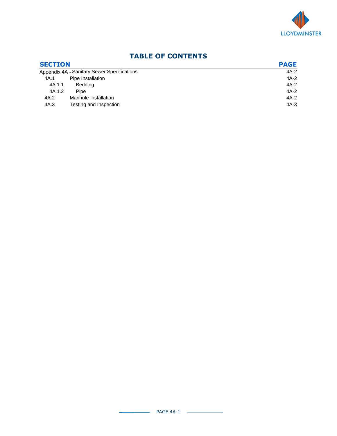

# **TABLE OF CONTENTS**

| <b>SECTION</b> |                                             | <b>PAGE</b> |
|----------------|---------------------------------------------|-------------|
|                | Appendix 4A - Sanitary Sewer Specifications |             |
| 4A.1           | Pipe Installation                           | 4A-2        |
| 4A.1.1         | <b>Bedding</b>                              | $4A-2$      |
| 4A.1.2         | Pipe                                        | $4A-2$      |
| 4A.2           | Manhole Installation                        | $4A-2$      |
| 4A.3           | Testing and Inspection                      | 4A-3        |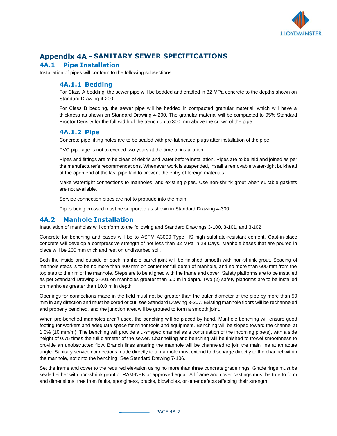

# **Appendix 4A - SANITARY SEWER SPECIFICATIONS**

# **4A.1 Pipe Installation**

Installation of pipes will conform to the following subsections.

#### **4A.1.1 Bedding**

For Class A bedding, the sewer pipe will be bedded and cradled in 32 MPa concrete to the depths shown on Standard Drawing 4-200.

For Class B bedding, the sewer pipe will be bedded in compacted granular material, which will have a thickness as shown on Standard Drawing 4-200. The granular material will be compacted to 95% Standard Proctor Density for the full width of the trench up to 300 mm above the crown of the pipe.

#### **4A.1.2 Pipe**

Concrete pipe lifting holes are to be sealed with pre-fabricated plugs after installation of the pipe.

PVC pipe age is not to exceed two years at the time of installation.

Pipes and fittings are to be clean of debris and water before installation. Pipes are to be laid and joined as per the manufacturer's recommendations. Whenever work is suspended, install a removable water-tight bulkhead at the open end of the last pipe laid to prevent the entry of foreign materials.

Make watertight connections to manholes, and existing pipes. Use non-shrink grout when suitable gaskets are not available.

Service connection pipes are not to protrude into the main.

Pipes being crossed must be supported as shown in Standard Drawing 4-300.

## **4A.2 Manhole Installation**

Installation of manholes will conform to the following and Standard Drawings 3-100, 3-101, and 3-102.

Concrete for benching and bases will be to ASTM A3000 Type HS high sulphate-resistant cement. Cast-in-place concrete will develop a compressive strength of not less than 32 MPa in 28 Days. Manhole bases that are poured in place will be 200 mm thick and rest on undisturbed soil.

Both the inside and outside of each manhole barrel joint will be finished smooth with non-shrink grout. Spacing of manhole steps is to be no more than 400 mm on center for full depth of manhole, and no more than 600 mm from the top step to the rim of the manhole. Steps are to be aligned with the frame and cover. Safety platforms are to be installed as per Standard Drawing 3-201 on manholes greater than 5.0 m in depth. Two (2) safety platforms are to be installed on manholes greater than 10.0 m in depth.

Openings for connections made in the field must not be greater than the outer diameter of the pipe by more than 50 mm in any direction and must be cored or cut, see Standard Drawing 3-207. Existing manhole floors will be rechanneled and properly benched, and the junction area will be grouted to form a smooth joint.

When pre-benched manholes aren't used, the benching will be placed by hand. Manhole benching will ensure good footing for workers and adequate space for minor tools and equipment. Benching will be sloped toward the channel at 1.0% (10 mm/m). The benching will provide a u-shaped channel as a continuation of the incoming pipe(s), with a side height of 0.75 times the full diameter of the sewer. Channelling and benching will be finished to trowel smoothness to provide an unobstructed flow. Branch lines entering the manhole will be channeled to join the main line at an acute angle. Sanitary service connections made directly to a manhole must extend to discharge directly to the channel within the manhole, not onto the benching. See Standard Drawing 7-106.

Set the frame and cover to the required elevation using no more than three concrete grade rings. Grade rings must be sealed either with non-shrink grout or RAM-NEK or approved equal. All frame and cover castings must be true to form and dimensions, free from faults, sponginess, cracks, blowholes, or other defects affecting their strength.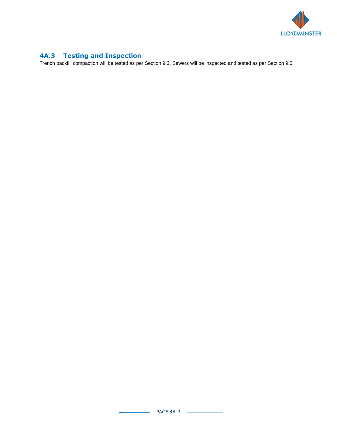

# **4A.3 Testing and Inspection**

Trench backfill compaction will be tested as per Section 9.3. Sewers will be inspected and tested as per Section 9.5.